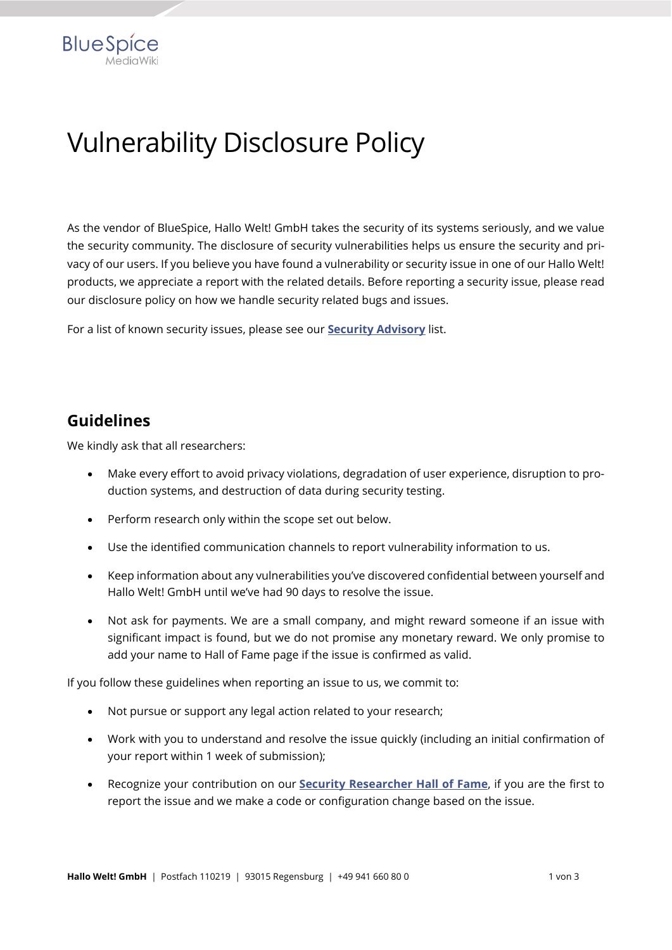

As the vendor of BlueSpice, Hallo Welt! GmbH takes the security of its systems seriously, and we value the security community. The disclosure of security vulnerabilities helps us ensure the security and privacy of our users. If you believe you have found a vulnerability or security issue in one of our Hallo Welt! products, we appreciate a report with the related details. Before reporting a security issue, please read our disclosure policy on how we handle security related bugs and issues.

For a list of known security issues, please see our **[Security Advisory](https://en.wiki.bluespice.com/wiki/Security:Security_Advisories)** list.

### **Guidelines**

**BlueSpice** 

We kindly ask that all researchers:

- Make every effort to avoid privacy violations, degradation of user experience, disruption to production systems, and destruction of data during security testing.
- Perform research only within the scope set out below.
- Use the identified communication channels to report vulnerability information to us.
- Keep information about any vulnerabilities you've discovered confidential between yourself and Hallo Welt! GmbH until we've had 90 days to resolve the issue.
- Not ask for payments. We are a small company, and might reward someone if an issue with significant impact is found, but we do not promise any monetary reward. We only promise to add your name to Hall of Fame page if the issue is confirmed as valid.

If you follow these guidelines when reporting an issue to us, we commit to:

- Not pursue or support any legal action related to your research;
- Work with you to understand and resolve the issue quickly (including an initial confirmation of your report within 1 week of submission);
- Recognize your contribution on our **[Security Researcher Hall of Fame](https://en.wiki.bluespice.com/wiki/Security:Hall_of_Fame)**, if you are the first to report the issue and we make a code or configuration change based on the issue.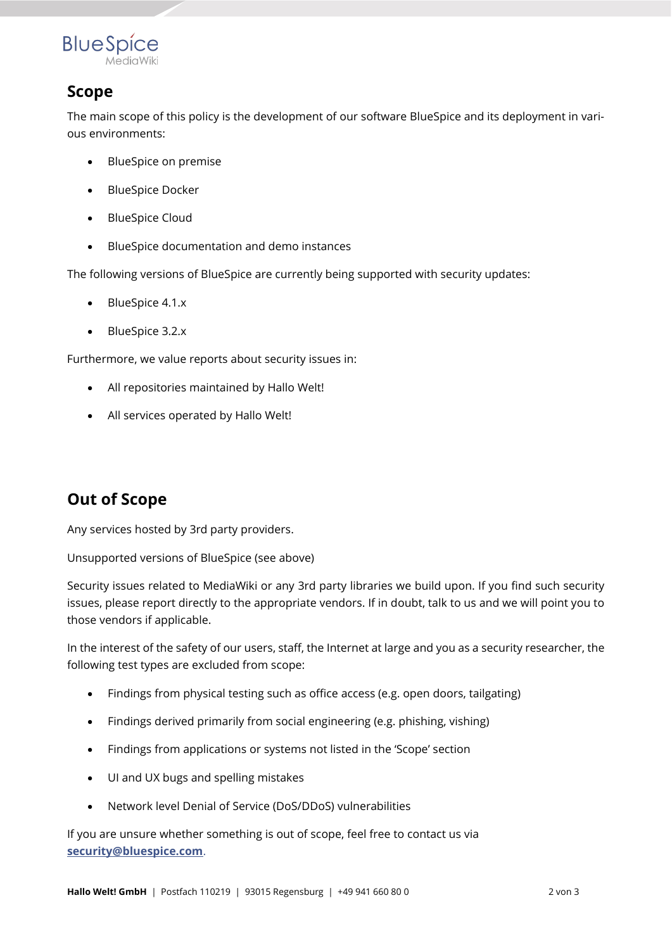

### **Scope**

The main scope of this policy is the development of our software BlueSpice and its deployment in various environments:

- BlueSpice on premise
- BlueSpice Docker
- BlueSpice Cloud
- BlueSpice documentation and demo instances

The following versions of BlueSpice are currently being supported with security updates:

- BlueSpice 4.1.x
- BlueSpice 3.2.x

Furthermore, we value reports about security issues in:

- All repositories maintained by Hallo Welt!
- All services operated by Hallo Welt!

# **Out of Scope**

Any services hosted by 3rd party providers.

Unsupported versions of BlueSpice (see above)

Security issues related to MediaWiki or any 3rd party libraries we build upon. If you find such security issues, please report directly to the appropriate vendors. If in doubt, talk to us and we will point you to those vendors if applicable.

In the interest of the safety of our users, staff, the Internet at large and you as a security researcher, the following test types are excluded from scope:

- Findings from physical testing such as office access (e.g. open doors, tailgating)
- Findings derived primarily from social engineering (e.g. phishing, vishing)
- Findings from applications or systems not listed in the 'Scope' section
- UI and UX bugs and spelling mistakes
- Network level Denial of Service (DoS/DDoS) vulnerabilities

If you are unsure whether something is out of scope, feel free to contact us via **[security@bluespice.com](mailto:security@bluespice.com)**.